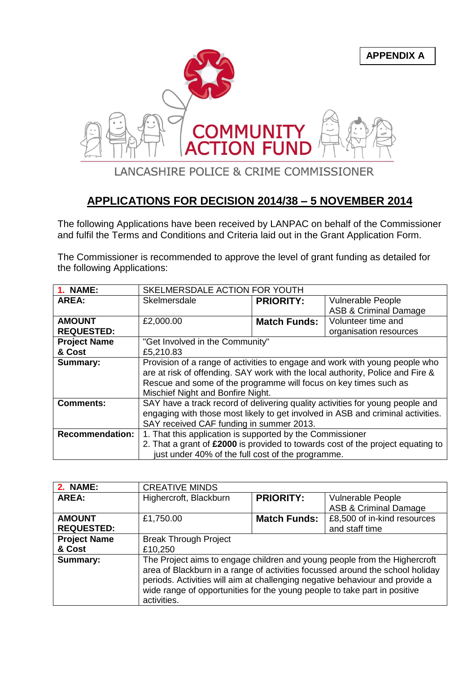

## **APPLICATIONS FOR DECISION 2014/38 – 5 NOVEMBER 2014**

The following Applications have been received by LANPAC on behalf of the Commissioner and fulfil the Terms and Conditions and Criteria laid out in the Grant Application Form.

The Commissioner is recommended to approve the level of grant funding as detailed for the following Applications:

| <b>1. NAME:</b>        | SKELMERSDALE ACTION FOR YOUTH                                                   |                     |                                                                                 |
|------------------------|---------------------------------------------------------------------------------|---------------------|---------------------------------------------------------------------------------|
| AREA:                  | Skelmersdale                                                                    | <b>PRIORITY:</b>    | <b>Vulnerable People</b>                                                        |
|                        |                                                                                 |                     | <b>ASB &amp; Criminal Damage</b>                                                |
| <b>AMOUNT</b>          | £2,000.00                                                                       | <b>Match Funds:</b> | Volunteer time and                                                              |
| <b>REQUESTED:</b>      |                                                                                 |                     | organisation resources                                                          |
| <b>Project Name</b>    | "Get Involved in the Community"                                                 |                     |                                                                                 |
| & Cost                 | £5,210.83                                                                       |                     |                                                                                 |
| <b>Summary:</b>        | Provision of a range of activities to engage and work with young people who     |                     |                                                                                 |
|                        | are at risk of offending. SAY work with the local authority, Police and Fire &  |                     |                                                                                 |
|                        | Rescue and some of the programme will focus on key times such as                |                     |                                                                                 |
|                        | Mischief Night and Bonfire Night.                                               |                     |                                                                                 |
| <b>Comments:</b>       | SAY have a track record of delivering quality activities for young people and   |                     |                                                                                 |
|                        | engaging with those most likely to get involved in ASB and criminal activities. |                     |                                                                                 |
|                        | SAY received CAF funding in summer 2013.                                        |                     |                                                                                 |
| <b>Recommendation:</b> | 1. That this application is supported by the Commissioner                       |                     |                                                                                 |
|                        |                                                                                 |                     | 2. That a grant of £2000 is provided to towards cost of the project equating to |
|                        | just under 40% of the full cost of the programme.                               |                     |                                                                                 |

| <b>2. NAME:</b>     | <b>CREATIVE MINDS</b>                                                                                                                                                                                                                                                                                                                  |                     |                                  |
|---------------------|----------------------------------------------------------------------------------------------------------------------------------------------------------------------------------------------------------------------------------------------------------------------------------------------------------------------------------------|---------------------|----------------------------------|
| AREA:               | Highercroft, Blackburn                                                                                                                                                                                                                                                                                                                 | <b>PRIORITY:</b>    | Vulnerable People                |
|                     |                                                                                                                                                                                                                                                                                                                                        |                     | <b>ASB &amp; Criminal Damage</b> |
| <b>AMOUNT</b>       | £1,750.00                                                                                                                                                                                                                                                                                                                              | <b>Match Funds:</b> | £8,500 of in-kind resources      |
| <b>REQUESTED:</b>   |                                                                                                                                                                                                                                                                                                                                        |                     | and staff time                   |
| <b>Project Name</b> | <b>Break Through Project</b>                                                                                                                                                                                                                                                                                                           |                     |                                  |
| & Cost              | £10,250                                                                                                                                                                                                                                                                                                                                |                     |                                  |
| Summary:            | The Project aims to engage children and young people from the Highercroft<br>area of Blackburn in a range of activities focussed around the school holiday<br>periods. Activities will aim at challenging negative behaviour and provide a<br>wide range of opportunities for the young people to take part in positive<br>activities. |                     |                                  |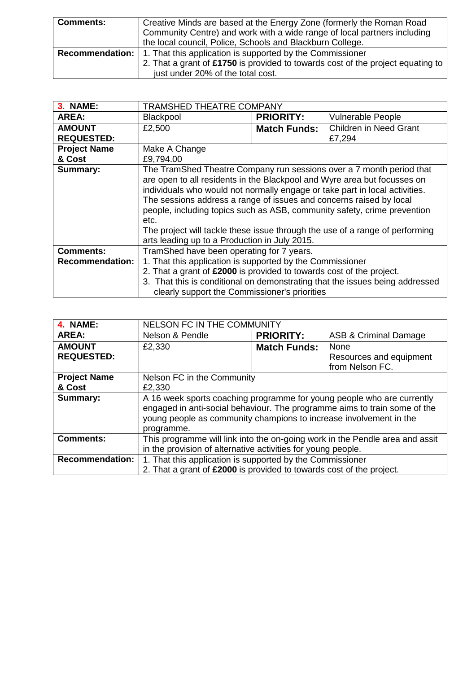| <b>Comments:</b> | Creative Minds are based at the Energy Zone (formerly the Roman Road             |  |
|------------------|----------------------------------------------------------------------------------|--|
|                  | Community Centre) and work with a wide range of local partners including         |  |
|                  | the local council, Police, Schools and Blackburn College.                        |  |
|                  | <b>Recommendation:</b> 1. That this application is supported by the Commissioner |  |
|                  | 2. That a grant of £1750 is provided to towards cost of the project equating to  |  |
|                  | just under 20% of the total cost.                                                |  |

| <b>3. NAME:</b>        | <b>TRAMSHED THEATRE COMPANY</b>                                                                                                                                                                                                                                                                                                                                                                                                                                                                                             |                     |                                                                              |
|------------------------|-----------------------------------------------------------------------------------------------------------------------------------------------------------------------------------------------------------------------------------------------------------------------------------------------------------------------------------------------------------------------------------------------------------------------------------------------------------------------------------------------------------------------------|---------------------|------------------------------------------------------------------------------|
| AREA:                  | Blackpool                                                                                                                                                                                                                                                                                                                                                                                                                                                                                                                   | <b>PRIORITY:</b>    | Vulnerable People                                                            |
| <b>AMOUNT</b>          | £2,500                                                                                                                                                                                                                                                                                                                                                                                                                                                                                                                      | <b>Match Funds:</b> | <b>Children in Need Grant</b>                                                |
| <b>REQUESTED:</b>      |                                                                                                                                                                                                                                                                                                                                                                                                                                                                                                                             |                     | £7,294                                                                       |
| <b>Project Name</b>    | Make A Change                                                                                                                                                                                                                                                                                                                                                                                                                                                                                                               |                     |                                                                              |
| & Cost                 | £9,794.00                                                                                                                                                                                                                                                                                                                                                                                                                                                                                                                   |                     |                                                                              |
| <b>Summary:</b>        | The TramShed Theatre Company run sessions over a 7 month period that<br>are open to all residents in the Blackpool and Wyre area but focusses on<br>individuals who would not normally engage or take part in local activities.<br>The sessions address a range of issues and concerns raised by local<br>people, including topics such as ASB, community safety, crime prevention<br>etc.<br>The project will tackle these issue through the use of a range of performing<br>arts leading up to a Production in July 2015. |                     |                                                                              |
| <b>Comments:</b>       | TramShed have been operating for 7 years.                                                                                                                                                                                                                                                                                                                                                                                                                                                                                   |                     |                                                                              |
| <b>Recommendation:</b> | 1. That this application is supported by the Commissioner                                                                                                                                                                                                                                                                                                                                                                                                                                                                   |                     |                                                                              |
|                        | 2. That a grant of £2000 is provided to towards cost of the project.                                                                                                                                                                                                                                                                                                                                                                                                                                                        |                     |                                                                              |
|                        |                                                                                                                                                                                                                                                                                                                                                                                                                                                                                                                             |                     | 3. That this is conditional on demonstrating that the issues being addressed |
|                        | clearly support the Commissioner's priorities                                                                                                                                                                                                                                                                                                                                                                                                                                                                               |                     |                                                                              |

| 4. NAME:               | NELSON FC IN THE COMMUNITY                                                                                                                                                                                                              |                     |                         |
|------------------------|-----------------------------------------------------------------------------------------------------------------------------------------------------------------------------------------------------------------------------------------|---------------------|-------------------------|
| <b>AREA:</b>           | Nelson & Pendle                                                                                                                                                                                                                         | <b>PRIORITY:</b>    | ASB & Criminal Damage   |
| <b>AMOUNT</b>          | £2,330                                                                                                                                                                                                                                  | <b>Match Funds:</b> | None                    |
| <b>REQUESTED:</b>      |                                                                                                                                                                                                                                         |                     | Resources and equipment |
|                        |                                                                                                                                                                                                                                         |                     | from Nelson FC.         |
| <b>Project Name</b>    | Nelson FC in the Community                                                                                                                                                                                                              |                     |                         |
| & Cost                 | £2,330                                                                                                                                                                                                                                  |                     |                         |
| Summary:               | A 16 week sports coaching programme for young people who are currently<br>engaged in anti-social behaviour. The programme aims to train some of the<br>young people as community champions to increase involvement in the<br>programme. |                     |                         |
| <b>Comments:</b>       | This programme will link into the on-going work in the Pendle area and assit                                                                                                                                                            |                     |                         |
|                        | in the provision of alternative activities for young people.                                                                                                                                                                            |                     |                         |
| <b>Recommendation:</b> | 1. That this application is supported by the Commissioner                                                                                                                                                                               |                     |                         |
|                        | 2. That a grant of £2000 is provided to towards cost of the project.                                                                                                                                                                    |                     |                         |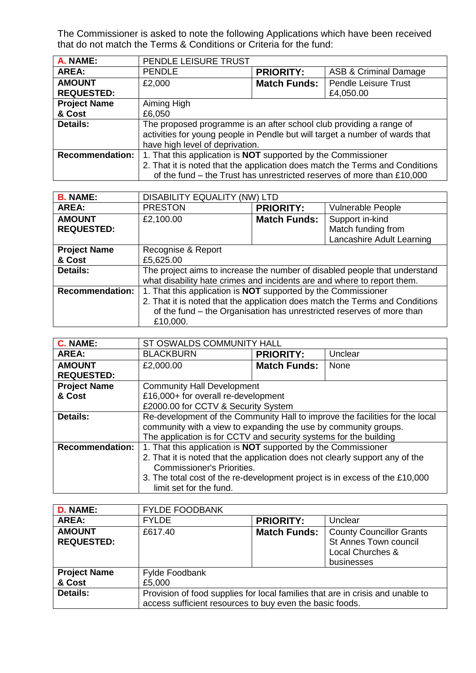The Commissioner is asked to note the following Applications which have been received that do not match the Terms & Conditions or Criteria for the fund:

| A. NAME:               | PENDLE LEISURE TRUST                                                         |                     |                                                                        |
|------------------------|------------------------------------------------------------------------------|---------------------|------------------------------------------------------------------------|
| AREA:                  | <b>PENDLE</b>                                                                | <b>PRIORITY:</b>    | <b>ASB &amp; Criminal Damage</b>                                       |
| <b>AMOUNT</b>          | £2,000                                                                       | <b>Match Funds:</b> | <b>Pendle Leisure Trust</b>                                            |
| <b>REQUESTED:</b>      |                                                                              |                     | £4,050.00                                                              |
| <b>Project Name</b>    | Aiming High                                                                  |                     |                                                                        |
| & Cost                 | £6,050                                                                       |                     |                                                                        |
| <b>Details:</b>        | The proposed programme is an after school club providing a range of          |                     |                                                                        |
|                        | activities for young people in Pendle but will target a number of wards that |                     |                                                                        |
|                        | have high level of deprivation.                                              |                     |                                                                        |
| <b>Recommendation:</b> | 1. That this application is <b>NOT</b> supported by the Commissioner         |                     |                                                                        |
|                        | 2. That it is noted that the application does match the Terms and Conditions |                     |                                                                        |
|                        |                                                                              |                     | of the fund – the Trust has unrestricted reserves of more than £10,000 |

| <b>B. NAME:</b>        | <b>DISABILITY EQUALITY (NW) LTD</b>                                          |                     |                           |
|------------------------|------------------------------------------------------------------------------|---------------------|---------------------------|
| AREA:                  | <b>PRESTON</b>                                                               | <b>PRIORITY:</b>    | <b>Vulnerable People</b>  |
| <b>AMOUNT</b>          | £2,100.00                                                                    | <b>Match Funds:</b> | Support in-kind           |
| <b>REQUESTED:</b>      |                                                                              |                     | Match funding from        |
|                        |                                                                              |                     | Lancashire Adult Learning |
| <b>Project Name</b>    | Recognise & Report                                                           |                     |                           |
| & Cost                 | £5,625.00                                                                    |                     |                           |
| <b>Details:</b>        | The project aims to increase the number of disabled people that understand   |                     |                           |
|                        | what disability hate crimes and incidents are and where to report them.      |                     |                           |
| <b>Recommendation:</b> | 1. That this application is <b>NOT</b> supported by the Commissioner         |                     |                           |
|                        | 2. That it is noted that the application does match the Terms and Conditions |                     |                           |
|                        | of the fund - the Organisation has unrestricted reserves of more than        |                     |                           |
|                        | £10,000.                                                                     |                     |                           |

| <b>C. NAME:</b>        | ST OSWALDS COMMUNITY HALL                                                    |                     |         |
|------------------------|------------------------------------------------------------------------------|---------------------|---------|
| AREA:                  | <b>BLACKBURN</b>                                                             | <b>PRIORITY:</b>    | Unclear |
| <b>AMOUNT</b>          | £2,000.00                                                                    | <b>Match Funds:</b> | None    |
| <b>REQUESTED:</b>      |                                                                              |                     |         |
| <b>Project Name</b>    | <b>Community Hall Development</b>                                            |                     |         |
| & Cost                 | £16,000+ for overall re-development                                          |                     |         |
|                        | £2000.00 for CCTV & Security System                                          |                     |         |
| Details:               | Re-development of the Community Hall to improve the facilities for the local |                     |         |
|                        | community with a view to expanding the use by community groups.              |                     |         |
|                        | The application is for CCTV and security systems for the building            |                     |         |
| <b>Recommendation:</b> | 1. That this application is <b>NOT</b> supported by the Commissioner         |                     |         |
|                        | 2. That it is noted that the application does not clearly support any of the |                     |         |
|                        | <b>Commissioner's Priorities.</b>                                            |                     |         |
|                        | 3. The total cost of the re-development project is in excess of the £10,000  |                     |         |
|                        | limit set for the fund.                                                      |                     |         |

| D. NAME:                           | <b>FYLDE FOODBANK</b>                                                                                                                      |                     |                                                                                            |
|------------------------------------|--------------------------------------------------------------------------------------------------------------------------------------------|---------------------|--------------------------------------------------------------------------------------------|
| <b>AREA:</b>                       | <b>FYLDE</b>                                                                                                                               | <b>PRIORITY:</b>    | Unclear                                                                                    |
| <b>AMOUNT</b><br><b>REQUESTED:</b> | £617.40                                                                                                                                    | <b>Match Funds:</b> | <b>County Councillor Grants</b><br>St Annes Town council<br>Local Churches &<br>businesses |
| <b>Project Name</b>                | Fylde Foodbank                                                                                                                             |                     |                                                                                            |
| & Cost                             | £5,000                                                                                                                                     |                     |                                                                                            |
| Details:                           | Provision of food supplies for local families that are in crisis and unable to<br>access sufficient resources to buy even the basic foods. |                     |                                                                                            |